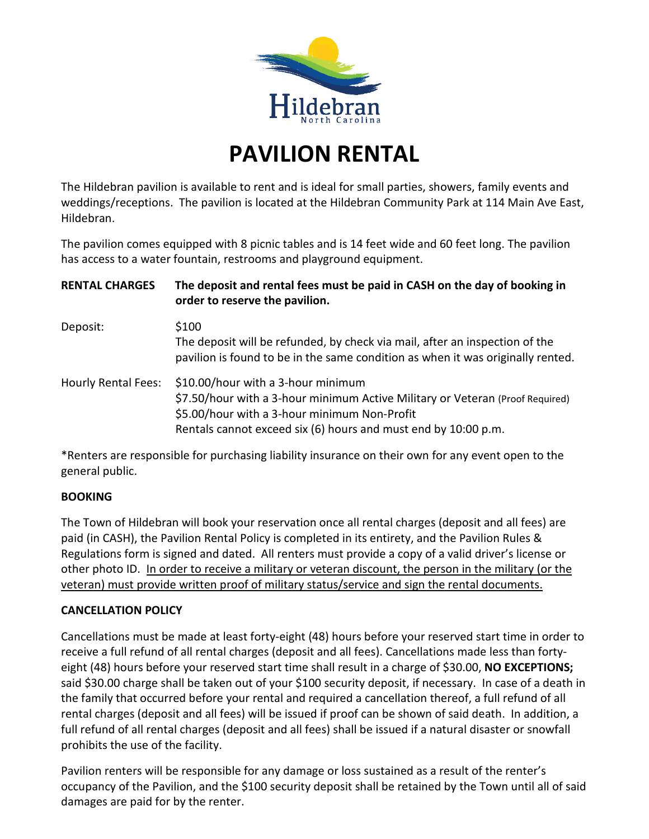

### **PAVILION RENTAL**

The Hildebran pavilion is available to rent and is ideal for small parties, showers, family events and weddings/receptions. The pavilion is located at the Hildebran Community Park at 114 Main Ave East, Hildebran.

The pavilion comes equipped with 8 picnic tables and is 14 feet wide and 60 feet long. The pavilion has access to a water fountain, restrooms and playground equipment.

| <b>RENTAL CHARGES</b>      | The deposit and rental fees must be paid in CASH on the day of booking in<br>order to reserve the pavilion.<br>\$100<br>The deposit will be refunded, by check via mail, after an inspection of the<br>pavilion is found to be in the same condition as when it was originally rented. |  |
|----------------------------|----------------------------------------------------------------------------------------------------------------------------------------------------------------------------------------------------------------------------------------------------------------------------------------|--|
| Deposit:                   |                                                                                                                                                                                                                                                                                        |  |
| <b>Hourly Rental Fees:</b> | \$10.00/hour with a 3-hour minimum<br>\$7.50/hour with a 3-hour minimum Active Military or Veteran (Proof Required)<br>\$5.00/hour with a 3-hour minimum Non-Profit<br>Rentals cannot exceed six (6) hours and must end by 10:00 p.m.                                                  |  |

\*Renters are responsible for purchasing liability insurance on their own for any event open to the general public.

#### **BOOKING**

The Town of Hildebran will book your reservation once all rental charges (deposit and all fees) are paid (in CASH), the Pavilion Rental Policy is completed in its entirety, and the Pavilion Rules & Regulations form is signed and dated. All renters must provide a copy of a valid driver's license or other photo ID. In order to receive a military or veteran discount, the person in the military (or the veteran) must provide written proof of military status/service and sign the rental documents.

#### **CANCELLATION POLICY**

Cancellations must be made at least forty-eight (48) hours before your reserved start time in order to receive a full refund of all rental charges (deposit and all fees). Cancellations made less than fortyeight (48) hours before your reserved start time shall result in a charge of \$30.00, **NO EXCEPTIONS;**  said \$30.00 charge shall be taken out of your \$100 security deposit, if necessary. In case of a death in the family that occurred before your rental and required a cancellation thereof, a full refund of all rental charges (deposit and all fees) will be issued if proof can be shown of said death. In addition, a full refund of all rental charges (deposit and all fees) shall be issued if a natural disaster or snowfall prohibits the use of the facility.

Pavilion renters will be responsible for any damage or loss sustained as a result of the renter's occupancy of the Pavilion, and the \$100 security deposit shall be retained by the Town until all of said damages are paid for by the renter.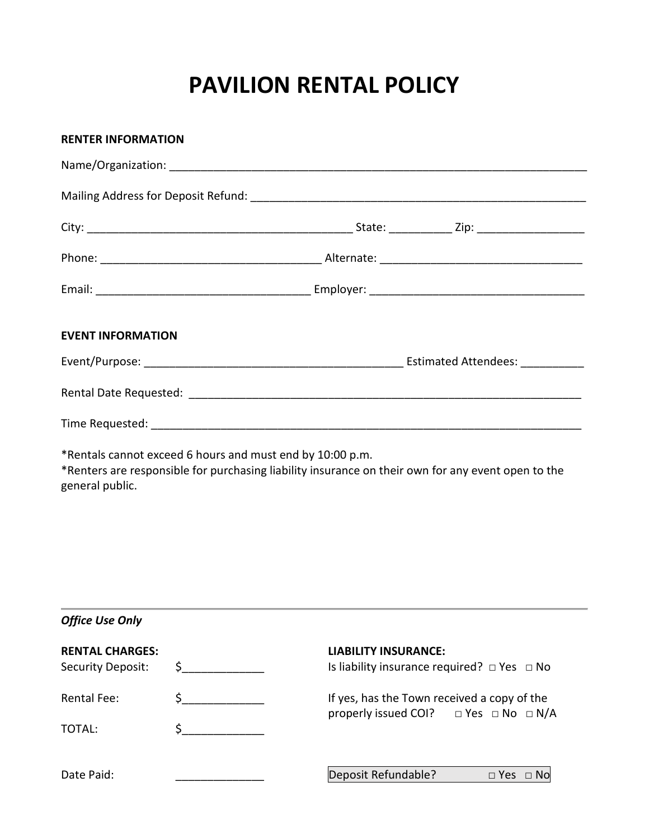## **PAVILION RENTAL POLICY**

| <b>RENTER INFORMATION</b>                   |                                                           |                                                                                                        |
|---------------------------------------------|-----------------------------------------------------------|--------------------------------------------------------------------------------------------------------|
|                                             |                                                           |                                                                                                        |
|                                             |                                                           |                                                                                                        |
|                                             |                                                           |                                                                                                        |
|                                             |                                                           |                                                                                                        |
|                                             |                                                           |                                                                                                        |
| <b>EVENT INFORMATION</b>                    |                                                           |                                                                                                        |
|                                             |                                                           |                                                                                                        |
|                                             |                                                           |                                                                                                        |
|                                             |                                                           |                                                                                                        |
| general public.                             | *Rentals cannot exceed 6 hours and must end by 10:00 p.m. | *Renters are responsible for purchasing liability insurance on their own for any event open to the     |
| <b>Office Use Only</b>                      |                                                           |                                                                                                        |
| <b>RENTAL CHARGES:</b><br>Security Deposit: | $\uparrow$                                                | <b>LIABILITY INSURANCE:</b><br>Is liability insurance required? $\Box$ Yes $\Box$ No                   |
| <b>Rental Fee:</b>                          | $\begin{array}{c} \xi \end{array}$                        | If yes, has the Town received a copy of the<br>properly issued COI?<br>$\Box$ Yes $\Box$ No $\Box$ N/A |
| TOTAL:                                      | $\zeta$                                                   |                                                                                                        |
| Date Paid:                                  |                                                           | Deposit Refundable?<br>□ Yes □ No                                                                      |